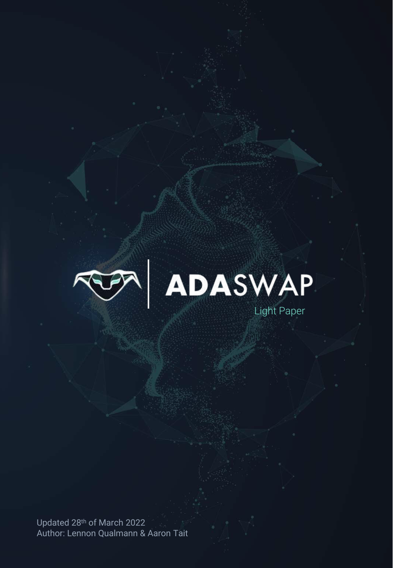



Updated 28th of March 2022 Author: Lennon Qualmann & Aaron Tait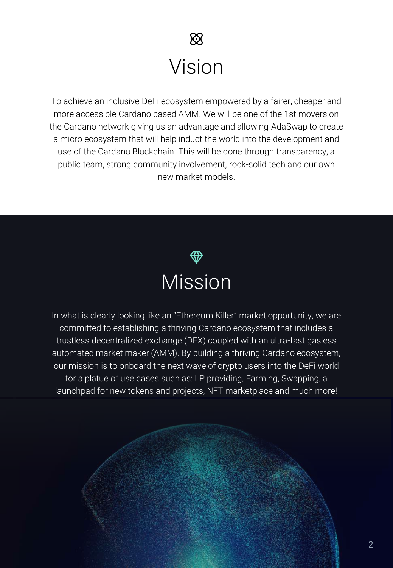# $\otimes$ Vision

To achieve an inclusive DeFi ecosystem empowered by a fairer, cheaper and more accessible Cardano based AMM. We will be one of the 1st movers on the Cardano network giving us an advantage and allowing AdaSwap to create a micro ecosystem that will help induct the world into the development and use of the Cardano Blockchain. This will be done through transparency, a public team, strong community involvement, rock-solid tech and our own new market models.



In what is clearly looking like an "Ethereum Killer" market opportunity, we are committed to establishing a thriving Cardano ecosystem that includes a trustless decentralized exchange (DEX) coupled with an ultra-fast gasless automated market maker (AMM). By building a thriving Cardano ecosystem, our mission is to onboard the next wave of crypto users into the DeFi world for a platue of use cases such as: LP providing, Farming, Swapping, a launchpad for new tokens and projects, NFT marketplace and much more!

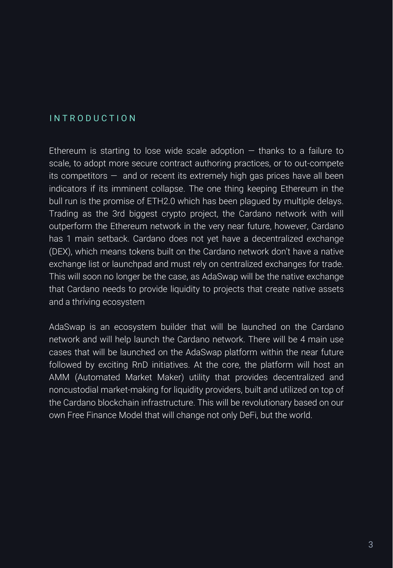### I N T R O D U C T I O N

Ethereum is starting to lose wide scale adoption  $-$  thanks to a failure to scale, to adopt more secure contract authoring practices, or to out-compete its competitors  $-$  and or recent its extremely high gas prices have all been indicators if its imminent collapse. The one thing keeping Ethereum in the bull run is the promise of ETH2.0 which has been plagued by multiple delays. Trading as the 3rd biggest crypto project, the Cardano network with will outperform the Ethereum network in the very near future, however, Cardano has 1 main setback. Cardano does not yet have a decentralized exchange (DEX), which means tokens built on the Cardano network don't have a native exchange list or launchpad and must rely on centralized exchanges for trade. This will soon no longer be the case, as AdaSwap will be the native exchange that Cardano needs to provide liquidity to projects that create native assets and a thriving ecosystem

AdaSwap is an ecosystem builder that will be launched on the Cardano network and will help launch the Cardano network. There will be 4 main use cases that will be launched on the AdaSwap platform within the near future followed by exciting RnD initiatives. At the core, the platform will host an AMM (Automated Market Maker) utility that provides decentralized and noncustodial market-making for liquidity providers, built and utilized on top of the Cardano blockchain infrastructure. This will be revolutionary based on our own Free Finance Model that will change not only DeFi, but the world.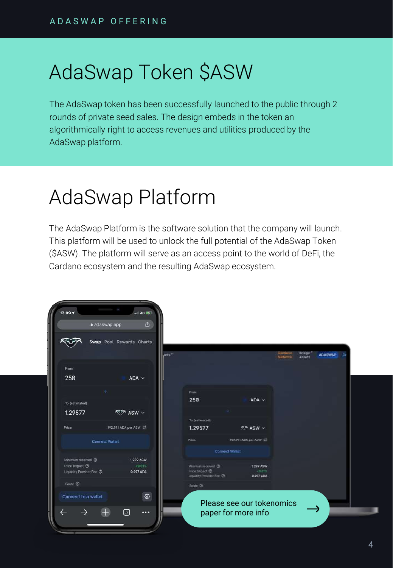# AdaSwap Token \$ASW

The AdaSwap token has been successfully launched to the public through 2 rounds of private seed sales. The design embeds in the token an algorithmically right to access revenues and utilities produced by the AdaSwap platform.

# AdaSwap Platform

The AdaSwap Platform is the software solution that the company will launch. This platform will be used to unlock the full potential of the AdaSwap Token (\$ASW). The platform will serve as an access point to the world of DeFi, the Cardano ecosystem and the resulting AdaSwap ecosystem.

| 12:09 1                                                 | $  $ 46 $  $                                   |                                                                       |                                                  |                    |                                    |    |
|---------------------------------------------------------|------------------------------------------------|-----------------------------------------------------------------------|--------------------------------------------------|--------------------|------------------------------------|----|
| a adaswap.app                                           | 酉                                              |                                                                       |                                                  |                    |                                    |    |
|                                                         | Swap Pool Rewards Charts<br>jarts <sup>3</sup> |                                                                       |                                                  | Cardago<br>Netwook | Bridge<br><b>ADASWAP</b><br>Assets | Cc |
| From                                                    |                                                |                                                                       |                                                  |                    |                                    |    |
| 250                                                     | ADA ~ ~                                        |                                                                       |                                                  |                    |                                    |    |
| a,                                                      |                                                | From                                                                  |                                                  |                    |                                    |    |
| To (estimated)                                          |                                                | 250                                                                   | $ADA$ $\sim$                                     |                    |                                    |    |
| 1.29577                                                 | ক্তু ASW ৵                                     |                                                                       |                                                  |                    |                                    |    |
|                                                         |                                                | To (estimated)                                                        |                                                  |                    |                                    |    |
| Price                                                   | 192.991 ADA per ASW C                          | 1.29577                                                               | <b>KIT ASW v</b>                                 |                    |                                    |    |
| Connect Wallet                                          |                                                | Price                                                                 | 192.991 ADA per ASW 17                           |                    |                                    |    |
|                                                         |                                                | <b>Connect Water</b>                                                  |                                                  |                    |                                    |    |
| Minimum received 2                                      | 1.289 ASW                                      |                                                                       |                                                  |                    |                                    |    |
| Price Impact <sup>(2)</sup><br>Liquidity Provider Fee O | $< 0.01$ %<br>0.097 ADA                        | Minimum received (3)<br>Price Impact ®<br>Liquidity Provider Fee: (D) | <b>1.289 ASW</b><br>$+0.015$<br>0.097 ADA        |                    |                                    |    |
| Route <sup>(2)</sup>                                    |                                                | Route ®                                                               |                                                  |                    |                                    |    |
| Connect to a wallet                                     | €<br>⊕<br>$\cdots$                             |                                                                       | Please see our tokenomics<br>paper for more info |                    |                                    |    |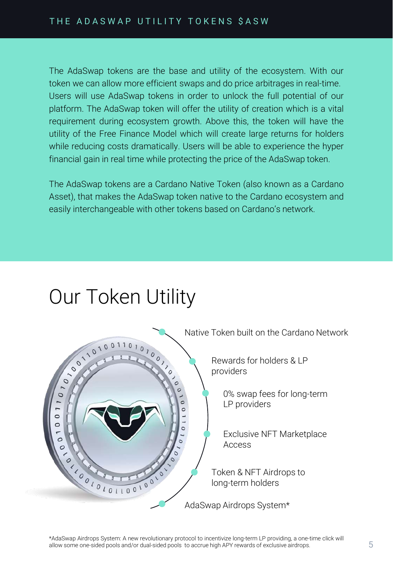The AdaSwap tokens are the base and utility of the ecosystem. With our token we can allow more efficient swaps and do price arbitrages in real-time. Users will use AdaSwap tokens in order to unlock the full potential of our platform. The AdaSwap token will offer the utility of creation which is a vital requirement during ecosystem growth. Above this, the token will have the utility of the Free Finance Model which will create large returns for holders while reducing costs dramatically. Users will be able to experience the hyper financial gain in real time while protecting the price of the AdaSwap token.

The AdaSwap tokens are a Cardano Native Token (also known as a Cardano Asset), that makes the AdaSwap token native to the Cardano ecosystem and easily interchangeable with other tokens based on Cardano's network.

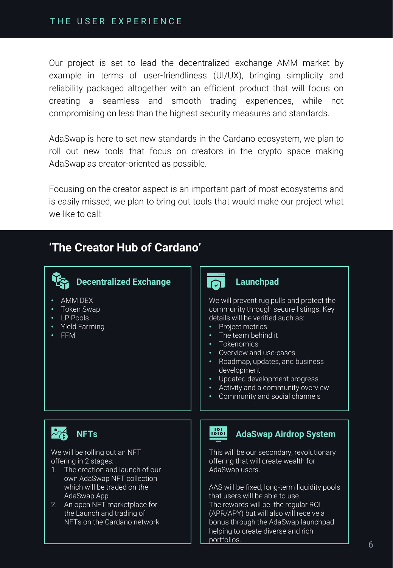### THE USER EXPERIENCE

Our project is set to lead the decentralized exchange AMM market by example in terms of user-friendliness (UI/UX), bringing simplicity and reliability packaged altogether with an efficient product that will focus on creating a seamless and smooth trading experiences, while not compromising on less than the highest security measures and standards.

AdaSwap is here to set new standards in the Cardano ecosystem, we plan to roll out new tools that focus on creators in the crypto space making AdaSwap as creator-oriented as possible.

Focusing on the creator aspect is an important part of most ecosystems and is easily missed, we plan to bring out tools that would make our project what we like to call:

### **'The Creator Hub of Cardano'**



- Token Swap
- LP Pools
- Yield Farming
- FFM



#### **Launchpad**

We will prevent rug pulls and protect the community through secure listings. Key details will be verified such as:

- Project metrics
- The team behind it
- Tokenomics
- Overview and use-cases
- Roadmap, updates, and business development
- Updated development progress
- Activity and a community overview
- Community and social channels

We will be rolling out an NFT offering in 2 stages:

- 1. The creation and launch of our own AdaSwap NFT collection which will be traded on the AdaSwap App
- 2. An open NFT marketplace for the Launch and trading of NFTs on the Cardano network

### **NFTs AdaSwap** Airdrop System

This will be our secondary, revolutionary offering that will create wealth for AdaSwap users.

AAS will be fixed, long-term liquidity pools that users will be able to use. The rewards will be the regular ROI (APR/APY) but will also will receive a bonus through the AdaSwap launchpad helping to create diverse and rich portfolios.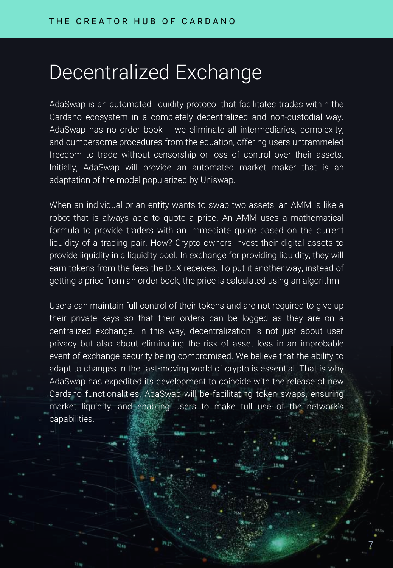# Decentralized Exchange

AdaSwap is an automated liquidity protocol that facilitates trades within the Cardano ecosystem in a completely decentralized and non-custodial way. AdaSwap has no order book -- we eliminate all intermediaries, complexity, and cumbersome procedures from the equation, offering users untrammeled freedom to trade without censorship or loss of control over their assets. Initially, AdaSwap will provide an automated market maker that is an adaptation of the model popularized by Uniswap.

When an individual or an entity wants to swap two assets, an AMM is like a robot that is always able to quote a price. An AMM uses a mathematical formula to provide traders with an immediate quote based on the current liquidity of a trading pair. How? Crypto owners invest their digital assets to provide liquidity in a liquidity pool. In exchange for providing liquidity, they will earn tokens from the fees the DEX receives. To put it another way, instead of getting a price from an order book, the price is calculated using an algorithm

Users can maintain full control of their tokens and are not required to give up their private keys so that their orders can be logged as they are on a centralized exchange. In this way, decentralization is not just about user privacy but also about eliminating the risk of asset loss in an improbable event of exchange security being compromised. We believe that the ability to adapt to changes in the fast-moving world of crypto is essential. That is why AdaSwap has expedited its development to coincide with the release of new Cardano functionalities. AdaSwap will be facilitating token swaps, ensuring market liquidity, and enabling users to make full use of the network's capabilities.

7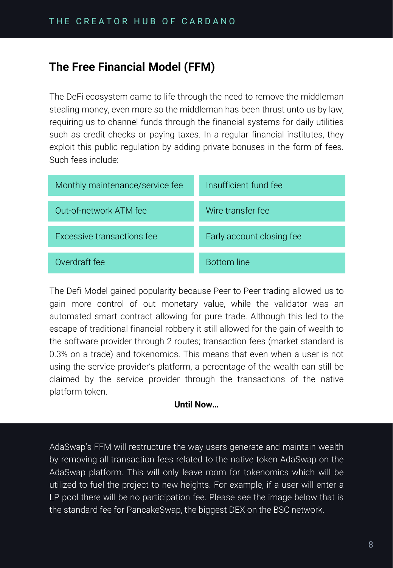### **The Free Financial Model (FFM)**

The DeFi ecosystem came to life through the need to remove the middleman stealing money, even more so the middleman has been thrust unto us by law, requiring us to channel funds through the financial systems for daily utilities such as credit checks or paying taxes. In a regular financial institutes, they exploit this public regulation by adding private bonuses in the form of fees. Such fees include:

| Monthly maintenance/service fee | Insufficient fund fee     |
|---------------------------------|---------------------------|
| Out-of-network ATM fee          | Wire transfer fee         |
| Excessive transactions fee      | Early account closing fee |
| Overdraft fee                   | <b>Bottom</b> line        |

The Defi Model gained popularity because Peer to Peer trading allowed us to gain more control of out monetary value, while the validator was an automated smart contract allowing for pure trade. Although this led to the escape of traditional financial robbery it still allowed for the gain of wealth to the software provider through 2 routes; transaction fees (market standard is 0.3% on a trade) and tokenomics. This means that even when a user is not using the service provider's platform, a percentage of the wealth can still be claimed by the service provider through the transactions of the native platform token.

### **Until Now…**

AdaSwap's FFM will restructure the way users generate and maintain wealth by removing all transaction fees related to the native token AdaSwap on the AdaSwap platform. This will only leave room for tokenomics which will be utilized to fuel the project to new heights. For example, if a user will enter a LP pool there will be no participation fee. Please see the image below that is the standard fee for PancakeSwap, the biggest DEX on the BSC network.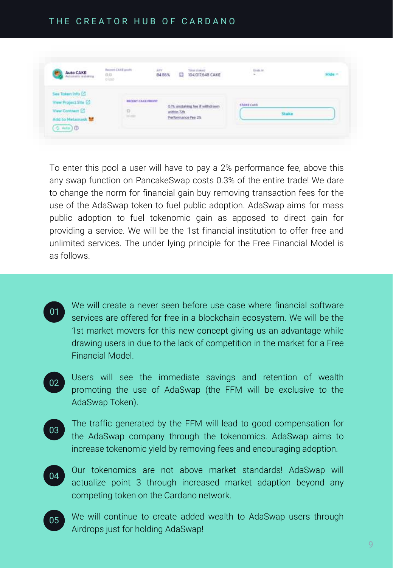### THE CREATOR HUB OF CARDANO

| Auto CAKE<br>Actornatic restauro                                                          | <b>Recent CARE profit</b><br>$\frac{0.0}{\alpha}$                       | am<br>84.86%<br>曲<br><b>SACRO PACK</b> | 104.017.648 CAKE<br>able to the attraction of the company of the                       | train             | Hide = |
|-------------------------------------------------------------------------------------------|-------------------------------------------------------------------------|----------------------------------------|----------------------------------------------------------------------------------------|-------------------|--------|
| <b>P.O. Box 1999 1999 1999 1999</b><br>See Token Info [2]<br><b>View Project Site [2]</b> | <b>CONTRACTOR</b> AND INTERNATIONAL<br><b><i>BECONT CAKE PROFIT</i></b> |                                        | CAST BATTLES OF CHILD FROM A STATE CAST CAST CAST<br>O.Th. smstalking fee if withdrawn | <b>STAKE CARE</b> |        |
| View Contract [2]<br>Add to Metamask No.                                                  | P<br><b>Gillion</b>                                                     | within 72h                             | <b>William March 1989</b><br>Performance Fee 2%                                        | Stake             |        |

To enter this pool a user will have to pay a 2% performance fee, above this any swap function on PancakeSwap costs 0.3% of the entire trade! We dare to change the norm for financial gain buy removing transaction fees for the use of the AdaSwap token to fuel public adoption. AdaSwap aims for mass public adoption to fuel tokenomic gain as apposed to direct gain for providing a service. We will be the 1st financial institution to offer free and unlimited services. The under lying principle for the Free Financial Model is as follows.

- We will create a never seen before use case where financial software services are offered for free in a blockchain ecosystem. We will be the 1st market movers for this new concept giving us an advantage while drawing users in due to the lack of competition in the market for a Free Financial Model.  $01$
- Users will see the immediate savings and retention of wealth promoting the use of AdaSwap (the FFM will be exclusive to the AdaSwap Token). 02
- The traffic generated by the FFM will lead to good compensation for the AdaSwap company through the tokenomics. AdaSwap aims to increase tokenomic yield by removing fees and encouraging adoption. 03 】
- $04$

Our tokenomics are not above market standards! AdaSwap will actualize point 3 through increased market adaption beyond any competing token on the Cardano network.

We will continue to create added wealth to AdaSwap users through Airdrops just for holding AdaSwap! 05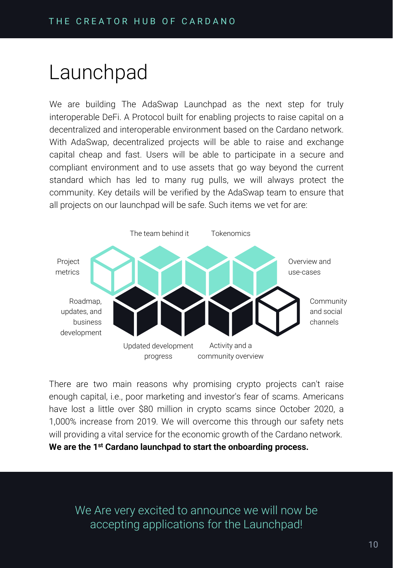## Launchpad

We are building The AdaSwap Launchpad as the next step for truly interoperable DeFi. A Protocol built for enabling projects to raise capital on a decentralized and interoperable environment based on the Cardano network. With AdaSwap, decentralized projects will be able to raise and exchange capital cheap and fast. Users will be able to participate in a secure and compliant environment and to use assets that go way beyond the current standard which has led to many rug pulls, we will always protect the community. Key details will be verified by the AdaSwap team to ensure that all projects on our launchpad will be safe. Such items we vet for are:



There are two main reasons why promising crypto projects can't raise enough capital, i.e., poor marketing and investor's fear of scams. Americans have lost a little over \$80 million in crypto scams since October 2020, a 1,000% increase from 2019. We will overcome this through our safety nets will providing a vital service for the economic growth of the Cardano network. **We are the 1 st Cardano launchpad to start the onboarding process.**

We Are very excited to announce we will now be accepting applications for the Launchpad!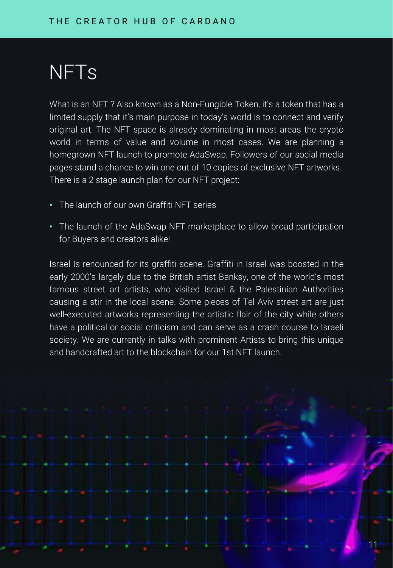# NFTs

What is an NFT? Also known as a Non-Fungible Token, it's a token that has a limited supply that it's main purpose in today's world is to connect and verify original art. The NFT space is already dominating in most areas the crypto world in terms of value and volume in most cases. We are planning a homegrown NFT launch to promote AdaSwap. Followers of our social media pages stand a chance to win one out of 10 copies of exclusive NFT artworks. There is a 2 stage launch plan for our NFT project:

- The launch of our own Graffiti NFT series
- The launch of the AdaSwap NFT marketplace to allow broad participation for Buyers and creators alike!

Israel Is renounced for its graffiti scene. Graffiti in Israel was boosted in the early 2000's largely due to the British artist Banksy, one of the world's most famous street art artists, who visited Israel & the Palestinian Authorities causing a stir in the local scene. Some pieces of Tel Aviv street art are just well-executed artworks representing the artistic flair of the city while others have a political or social criticism and can serve as a crash course to Israeli society. We are currently in talks with prominent Artists to bring this unique and handcrafted art to the blockchain for our 1st NFT launch.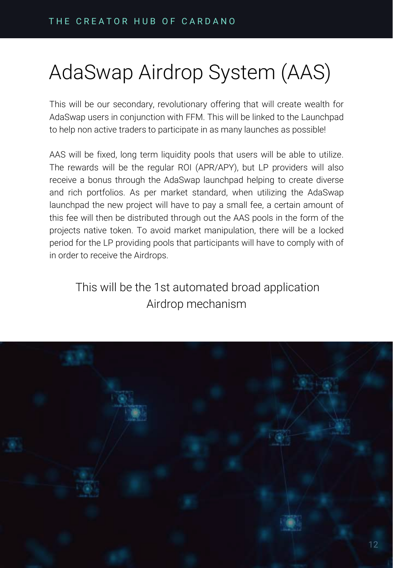# AdaSwap Airdrop System (AAS)

This will be our secondary, revolutionary offering that will create wealth for AdaSwap users in conjunction with FFM. This will be linked to the Launchpad to help non active traders to participate in as many launches as possible!

AAS will be fixed, long term liquidity pools that users will be able to utilize. The rewards will be the regular ROI (APR/APY), but LP providers will also receive a bonus through the AdaSwap launchpad helping to create diverse and rich portfolios. As per market standard, when utilizing the AdaSwap launchpad the new project will have to pay a small fee, a certain amount of this fee will then be distributed through out the AAS pools in the form of the projects native token. To avoid market manipulation, there will be a locked period for the LP providing pools that participants will have to comply with of in order to receive the Airdrops.

This will be the 1st automated broad application Airdrop mechanism

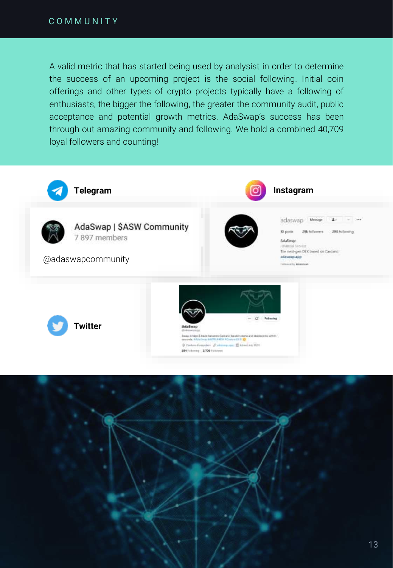A valid metric that has started being used by analysist in order to determine the success of an upcoming project is the social following. Initial coin offerings and other types of crypto projects typically have a following of enthusiasts, the bigger the following, the greater the community audit, public acceptance and potential growth metrics. AdaSwap's success has been through out amazing community and following. We hold a combined 40,709 loyal followers and counting!

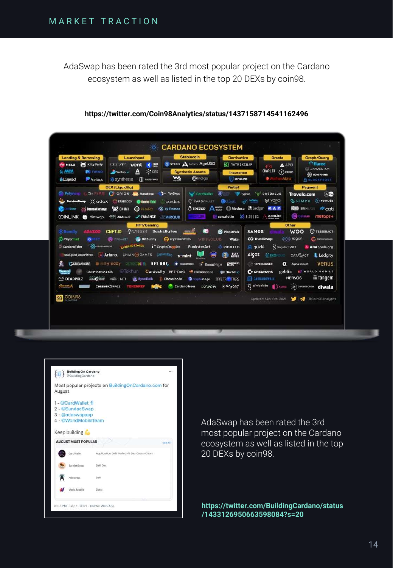AdaSwap has been rated the 3rd most popular project on the Cardano ecosystem as well as listed in the top 20 DEXs by coin98.

| <b>Lending &amp; Borrowing</b><br><b>Kitty Party</b><br>W MELD<br><b>AADA</b><br><b>C</b> U nexo<br>Poribus<br><b>&amp;Liqwid</b>                                                 | Launchpad<br><b>ITIZET vent</b><br><b>ARA KIDK</b><br>$\mathbf{A}$<br>Ventup.io<br>S synthesis<br><b>ID</b> TRUSTPAD                                                                                                                                                                                                                                                                             | <b>Stablecoin</b><br>S STASIS Address AgeUSD<br><b>Synthetix Assets</b><br><b>O</b> indigo<br>w                                                                   | <b>Derrivative</b><br>M MATRIXSUAP<br>Insurance<br>en <sub>suro</sub>                                                                                                                                                | Oracle<br>$A$ API3<br>o<br>CHARLI3 (E) ERGO<br>nAlpha<br>÷                                                                                                                                                                                                         | Graph/Query<br><b>Offuree</b><br><b>EL DANDEL LON</b><br><b>RE HONEYCOMB</b><br><b>MALOCKFROST</b>                                 |
|-----------------------------------------------------------------------------------------------------------------------------------------------------------------------------------|--------------------------------------------------------------------------------------------------------------------------------------------------------------------------------------------------------------------------------------------------------------------------------------------------------------------------------------------------------------------------------------------------|-------------------------------------------------------------------------------------------------------------------------------------------------------------------|----------------------------------------------------------------------------------------------------------------------------------------------------------------------------------------------------------------------|--------------------------------------------------------------------------------------------------------------------------------------------------------------------------------------------------------------------------------------------------------------------|------------------------------------------------------------------------------------------------------------------------------------|
| <b>CO</b> Polyswap<br>コミニトロニ<br>Sundestwap :: adax ERGODEX<br><b><i><b>ANS</b></i></b> Decision Exchange<br>Swap                                                                  | <b>DEX (Liquidity)</b><br>C ORION C. FlanoSwap<br><b>Genius Yield</b><br>SP ONOMY<br>$\Omega$ pharo<br><b>COINLINK &amp;</b> Minswap. <> Nabaswap <> FANANCE ARMIRQUR                                                                                                                                                                                                                            | **- YaySwap<br>cardax<br>Sy. Vy Finance<br><b>CARD LOW</b>                                                                                                        | <b>Wallet</b><br>GeroWallet William Typhon DAEDALUS<br>CARDWALLET <b>CLUbal</b> of infinite & YOROI<br><b>O TREZOR</b> Night C Medusa <b>E</b> Ledger <b>RAY</b><br>Concording to the Contract of Section 1. AdaLite |                                                                                                                                                                                                                                                                    | Payment<br>(A) 60<br><b>Travala.com</b><br><b>SSEMPO</b> € revuto<br><b>BBB</b> SIRIN SIGN <b>PCOLI</b><br>Celsius metaps+         |
| <b>JR Bondly</b><br><b>ABAZOO</b><br><b><i>Playermint</i></b><br><b>See convenience</b><br>CardanoTales<br><b>CRYPTOMAYOR</b><br>Yummi<br><b>XX DEADPXLZ</b><br><b>GENETIFIAN</b> | NFT/Gaming<br>CNFT.IO CATERAS SushiButes mm<br><b>Community Community Community Community</b> Community<br>CARDANO COMICS<br>unsigned algorithms A Artano. CHAIN GAMES CANNINGS somint<br>GCARDANG Shiftyleddy MFT NFT DOT, + Housterman T BoomPopz 6998440<br>SIXX O 10102 IVAD NFT & Rynnelluds : Bitcasino.io Coryptomage TIME TRIC TTERS<br>CARDANOSPACE<br><b>TOKENREF</b><br><b>ALLENC</b> | 曲<br>VIFF CLUB<br><b>L</b> <sup>*</sup> CryptoDoggies<br>PunksterArt<br><b>Wickhun</b> Cardacity NFT-DAO coindodo.io and Burble.io<br>CardanoTrees LOVADA GOALAXY | <b>S&amp;Mee</b><br>PlanetPalz<br><b>Minterv</b><br>Re quide<br><b>RIDOTTO</b><br><b>ELAY</b><br>NOTES                                                                                                               | Other<br><b>WOO</b><br>$48 \approx 10$ gon<br>CO Trust Swap<br><b>SingularityNET</b><br>Algoz CERO CATALACT<br>HYPERLEDGER<br>Alpha Impact<br><b>C</b> <sup>o</sup> CREDMARK<br><b>NERVOS</b><br><b>ED CARDANOWALL</b><br>G gimbalabs (Kunz 60) CHAINESCROW diwala | <b>D</b> TESSERACT<br>C Cardanoscan<br>A ADApools.org<br><b>Ledgity</b><br>venus<br>goblin W worLD MOBILE<br>$\overline{1}$ tangem |
| <b>98 COIN98</b>                                                                                                                                                                  |                                                                                                                                                                                                                                                                                                                                                                                                  |                                                                                                                                                                   |                                                                                                                                                                                                                      | Updated: Sep 13th, 2021 3 GCoin98Analytics                                                                                                                                                                                                                         |                                                                                                                                    |

#### **https://twitter.com/Coin98Analytics/status/1437158714541162496**

|        | <b>Building On Cardano</b><br>@BulldingCardano                                                    |                                                    | 188      |
|--------|---------------------------------------------------------------------------------------------------|----------------------------------------------------|----------|
| August |                                                                                                   | Most popular projects on BuildingOnCardano.com for |          |
|        | 1 - @CardWallet fi<br>2 - @SundaeSwap<br>3 - @adaswapapp<br>4 - @WorldMobileTeam<br>Keep building |                                                    |          |
|        | <b>AUGUST MOST POPULAR</b>                                                                        |                                                    | Says All |
|        | CardWallet                                                                                        | Application Dall Wallet Mft Dex Cross-Chain        |          |
|        | SundaeSwap                                                                                        | Defi Dex                                           |          |
|        | AdaSwap:                                                                                          | Defi                                               |          |
|        | World Mobile                                                                                      | Dota                                               |          |
|        |                                                                                                   | 8:57 PM - Sep 1, 2021 - Twitter Web App            |          |

AdaSwap has been rated the 3rd most popular project on the Cardano ecosystem as well as listed in the top 20 DEXs by coin98.

**https://twitter.com/BuildingCardano/status /1433126950663598084?s=20**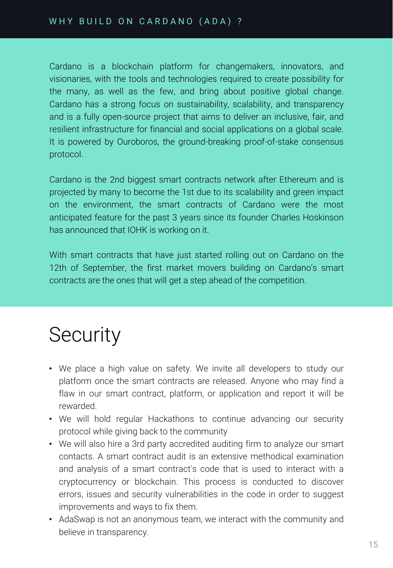### WHY BUILD ON CARDANO (ADA) ?

Cardano is a blockchain platform for changemakers, innovators, and visionaries, with the tools and technologies required to create possibility for the many, as well as the few, and bring about positive global change. Cardano has a strong focus on sustainability, scalability, and transparency and is a fully open-source project that aims to deliver an inclusive, fair, and resilient infrastructure for financial and social applications on a global scale. It is powered by Ouroboros, the ground-breaking proof-of-stake consensus protocol.

Cardano is the 2nd biggest smart contracts network after Ethereum and is projected by many to become the 1st due to its scalability and green impact on the environment, the smart contracts of Cardano were the most anticipated feature for the past 3 years since its founder Charles Hoskinson has announced that IOHK is working on it.

With smart contracts that have just started rolling out on Cardano on the 12th of September, the first market movers building on Cardano's smart contracts are the ones that will get a step ahead of the competition.

# **Security**

- We place a high value on safety. We invite all developers to study our platform once the smart contracts are released. Anyone who may find a flaw in our smart contract, platform, or application and report it will be rewarded.
- We will hold regular Hackathons to continue advancing our security protocol while giving back to the community
- We will also hire a 3rd party accredited auditing firm to analyze our smart contacts. A smart contract audit is an extensive methodical examination and analysis of a smart contract's code that is used to interact with a cryptocurrency or blockchain. This process is conducted to discover errors, issues and security vulnerabilities in the code in order to suggest improvements and ways to fix them.
- AdaSwap is not an anonymous team, we interact with the community and believe in transparency.